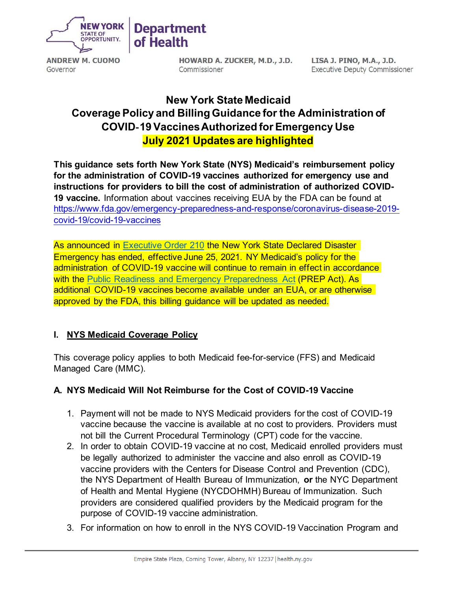

# **Department of Health**

Governor

**HOWARD A. ZUCKER, M.D., J.D.**  Commissioner

**LISA J. PINO, M.A., J.D.**  Executive Deputy Commissioner

# **New York State Medicaid Coverage Policy and Billing Guidance for the Administration of COVID**-**19 Vaccines Authorized for Emergency Use July 2021 Updates are highlighted**

 **This guidance sets forth New York State (NYS) Medicaid's reimbursement policy for the administration of COVID-19 vaccines authorized for emergency use and instructions for providers to bill the cost of administration of authorized COVID- 19 vaccine.** Information about vaccines receiving EUA by the FDA can be found at [https://www.fda.gov/emergency-preparedness-and-response/coronavirus-disease-2019](https://www.fda.gov/emergency-preparedness-and-response/coronavirus-disease-2019-covid-19/covid-19-vaccines) [covid-19/covid-19-vaccines](https://www.fda.gov/emergency-preparedness-and-response/coronavirus-disease-2019-covid-19/covid-19-vaccines) 

 As announced in [Executive Order 210](https://www.governor.ny.gov/news/no-210-expiration-executive-orders-202-and-205) the New York State Declared Disaster Emergency has ended, effective June 25, 2021. NY Medicaid's policy for the additional COVID-19 vaccines become available under an EUA, or are otherwise approved by the FDA, this billing guidance will be updated as needed. administration of COVID-19 vaccine will continue to remain in effect in accordance with the [Public Readiness and Emergency Preparedness Act](https://www.federalregister.gov/documents/2020/03/17/2020-05484/declaration-under-the-public-readiness-and-emergency-preparedness-act-for-medical-countermeasures) (PREP Act). As

## **I. NYS Medicaid Coverage Policy**

 This coverage policy applies to both Medicaid fee-for-service (FFS) and Medicaid Managed Care (MMC).

## **A. NYS Medicaid Will Not Reimburse for the Cost of COVID-19 Vaccine**

- 1. Payment will not be made to NYS Medicaid providers for the cost of COVID-19 vaccine because the vaccine is available at no cost to providers. Providers must not bill the Current Procedural Terminology (CPT) code for the vaccine.
- 2. In order to obtain COVID-19 vaccine at no cost, Medicaid enrolled providers must be legally authorized to administer the vaccine and also enroll as COVID-19 vaccine providers with the Centers for Disease Control and Prevention (CDC), the NYS Department of Health Bureau of Immunization, **or** the NYC Department of Health and Mental Hygiene (NYCDOHMH) Bureau of Immunization. Such providers are considered qualified providers by the Medicaid program for the purpose of COVID-19 vaccine administration.
- 3. For information on how to enroll in the NYS COVID-19 Vaccination Program and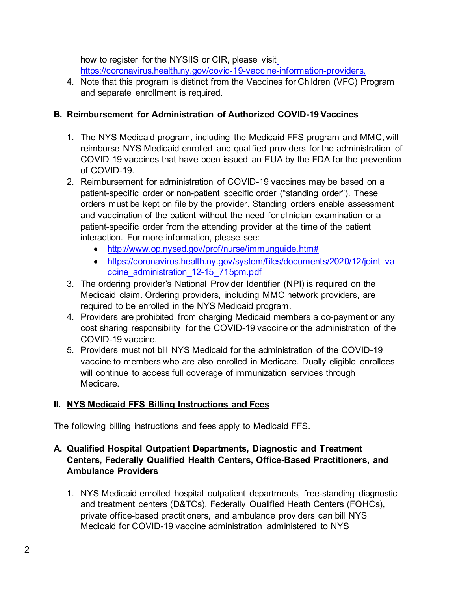how to register for the NYSIIS or CIR, please visit [https://coronavirus.health.ny.gov/covid-19-vaccine-information-providers.](https://coronavirus.health.ny.gov/covid-19-vaccine-information-providers) 

 4. Note that this program is distinct from the Vaccines for Children (VFC) Program and separate enrollment is required.

# **B. Reimbursement for Administration of Authorized COVID-19 Vaccines**

- 1. The NYS Medicaid program, including the Medicaid FFS program and MMC, will reimburse NYS Medicaid enrolled and qualified providers for the administration of COVID-19 vaccines that have been issued an EUA by the FDA for the prevention of COVID-19.
- 2. Reimbursement for administration of COVID-19 vaccines may be based on a patient-specific order or non-patient specific order ("standing order"). These orders must be kept on file by the provider. Standing orders enable assessment and vaccination of the patient without the need for clinician examination or a patient-specific order from the attending provider at the time of the patient interaction. For more information, please see:
	- <http://www.op.nysed.gov/prof/nurse/immunguide.htm>#
	- https://coronavirus.health.ny.gov/system/files/documents/2020/12/joint\_va ccine\_administration\_12-15\_715pm.pdf
- 3. The ordering provider's National Provider Identifier (NPI) is required on the Medicaid claim. Ordering providers, including MMC network providers, are required to be enrolled in the NYS Medicaid program.
- 4. Providers are prohibited from charging Medicaid members a co-payment or any cost sharing responsibility for the COVID-19 vaccine or the administration of the COVID-19 vaccine.
- 5. Providers must not bill NYS Medicaid for the administration of the COVID-19 vaccine to members who are also enrolled in Medicare. Dually eligible enrollees will continue to access full coverage of immunization services through Medicare.

# <span id="page-1-0"></span> **II. NYS Medicaid FFS Billing Instructions and Fees**

The following billing instructions and fees apply to Medicaid FFS.

## **A. Qualified Hospital Outpatient Departments, Diagnostic and Treatment Centers, Federally Qualified Health Centers, Office-Based Practitioners, and Ambulance Providers**

 and treatment centers (D&TCs), Federally Qualified Heath Centers (FQHCs), private office-based practitioners, and ambulance providers can bill NYS 1. NYS Medicaid enrolled hospital outpatient departments, free-standing diagnostic Medicaid for COVID-19 vaccine administration administered to NYS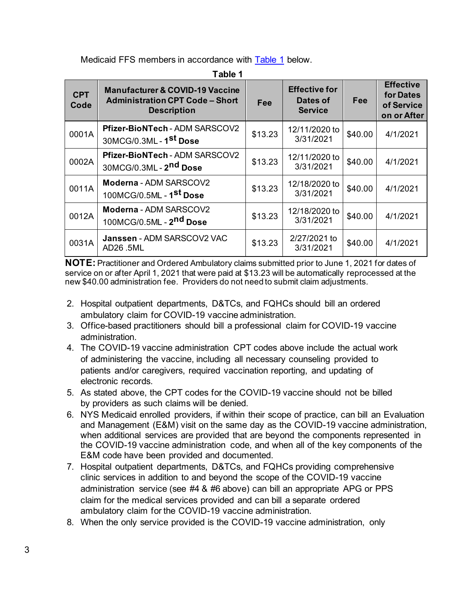Medicaid FFS members in accordance with <mark>Table 1</mark> below.

<span id="page-2-0"></span>

| <b>CPT</b><br>Code | <b>Manufacturer &amp; COVID-19 Vaccine</b><br><b>Administration CPT Code - Short</b><br><b>Description</b> | Fee     | <b>Effective for</b><br>Dates of<br><b>Service</b> | <b>Fee</b> | <b>Effective</b><br>for Dates<br>of Service<br>on or After |
|--------------------|------------------------------------------------------------------------------------------------------------|---------|----------------------------------------------------|------------|------------------------------------------------------------|
| 0001A              | Pfizer-BioNTech - ADM SARSCOV2<br>30MCG/0.3ML - 1 <sup>st</sup> Dose                                       | \$13.23 | 12/11/2020 to<br>3/31/2021                         | \$40.00    | 4/1/2021                                                   |
| 0002A              | Pfizer-BioNTech - ADM SARSCOV2<br>30MCG/0.3ML - 2 <sup>nd</sup> Dose                                       | \$13.23 | 12/11/2020 to<br>3/31/2021                         | \$40.00    | 4/1/2021                                                   |
| 0011A              | Moderna - ADM SARSCOV2<br>100MCG/0.5ML - 1 <sup>st</sup> Dose                                              | \$13.23 | 12/18/2020 to<br>3/31/2021                         | \$40.00    | 4/1/2021                                                   |
| 0012A              | Moderna - ADM SARSCOV2<br>100MCG/0.5ML - 2nd Dose                                                          | \$13.23 | 12/18/2020 to<br>3/31/2021                         | \$40.00    | 4/1/2021                                                   |
| 0031A              | Janssen - ADM SARSCOV2 VAC<br>AD26.5ML                                                                     | \$13.23 | 2/27/2021 to<br>3/31/2021                          | \$40.00    | 4/1/2021                                                   |

 new \$40.00 administration fee. Providers do not need to submit claim adjustments. **NOTE:** Practitioner and Ordered Ambulatory claims submitted prior to June 1, 2021 for dates of service on or after April 1, 2021 that were paid at [\\$13.23](https://at$13.23) will be automatically reprocessed at the

- 2. Hospital outpatient departments, D&TCs, and FQHCs should bill an ordered ambulatory claim for COVID-19 vaccine administration.
- 3. Office-based practitioners should bill a professional claim for COVID-19 vaccine administration.
- 4. The COVID-19 vaccine administration CPT codes above include the actual work of administering the vaccine, including all necessary counseling provided to patients and/or caregivers, required vaccination reporting, and updating of electronic records.
- 5. As stated above, the CPT codes for the COVID-19 vaccine should not be billed by providers as such claims will be denied.
- 6. NYS Medicaid enrolled providers, if within their scope of practice, can bill an Evaluation and Management (E&M) visit on the same day as the COVID-19 vaccine administration, when additional services are provided that are beyond the components represented in the COVID-19 vaccine administration code, and when all of the key components of the E&M code have been provided and documented.
- 7. Hospital outpatient departments, D&TCs, and FQHCs providing comprehensive clinic services in addition to and beyond the scope of the COVID-19 vaccine administration service (see #4 & #6 above) can bill an appropriate APG or PPS claim for the medical services provided and can bill a separate ordered ambulatory claim for the COVID-19 vaccine administration.
- 8. When the only service provided is the COVID-19 vaccine administration, only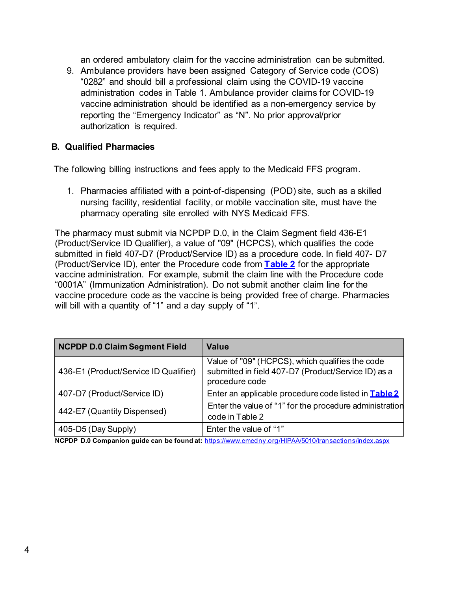an ordered ambulatory claim for the vaccine administration can be submitted.

 9. Ambulance providers have been assigned Category of Service code (COS) "0282" and should bill a professional claim using the COVID-19 vaccine vaccine administration should be identified as a non-emergency service by reporting the "Emergency Indicator" as "N". No prior approval/prior administration codes in Table 1. Ambulance provider claims for COVID-19 authorization is required.

#### **B. Qualified Pharmacies**

The following billing instructions and fees apply to the Medicaid FFS program.

 1. Pharmacies affiliated with a point-of-dispensing (POD) site, such as a skilled pharmacy operating site enrolled with NYS Medicaid FFS. nursing facility, residential facility, or mobile vaccination site, must have the

 The pharmacy must submit via NCPDP D.0, in the Claim Segment field 436-E1 (Product/Service ID Qualifier), a value of "09" (HCPCS), which qualifies the code submitted in field 407-D7 (Product/Service ID) as a procedure code. In field 407- D7 (Product/Service ID), enter the Procedure code from **[Table 2](#page-4-0)** for the appropriate vaccine administration. For example, submit the claim line with the Procedure code "0001A" (Immunization Administration). Do not submit another claim line for the will bill with a quantity of "1" and a day supply of "1". vaccine procedure code as the vaccine is being provided free of charge. Pharmacies

| <b>NCPDP D.0 Claim Segment Field</b>  | <b>Value</b>                                                                                                             |
|---------------------------------------|--------------------------------------------------------------------------------------------------------------------------|
| 436-E1 (Product/Service ID Qualifier) | Value of "09" (HCPCS), which qualifies the code<br>submitted in field 407-D7 (Product/Service ID) as a<br>procedure code |
| 407-D7 (Product/Service ID)           | Enter an applicable procedure code listed in Table 2                                                                     |
| 442-E7 (Quantity Dispensed)           | Enter the value of "1" for the procedure administration<br>code in Table 2                                               |
| 405-D5 (Day Supply)                   | Enter the value of "1"                                                                                                   |

 **NCPDP D.0 Companion guide can be found at:** https:[//www.emedny.org/HIPAA/5010/transactions/index.aspx](http://www.emedny.org/HIPAA/5010/transactions/index.aspx)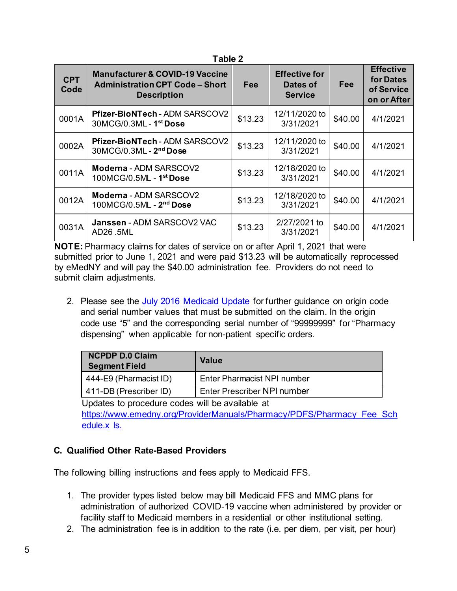<span id="page-4-0"></span>

| <b>CPT</b><br>Code | <b>Manufacturer &amp; COVID-19 Vaccine</b><br><b>Administration CPT Code - Short</b><br><b>Description</b> | <b>Fee</b> | <b>Effective for</b><br>Dates of<br><b>Service</b> | Fee     | <b>Effective</b><br>for Dates<br>of Service<br>on or After |
|--------------------|------------------------------------------------------------------------------------------------------------|------------|----------------------------------------------------|---------|------------------------------------------------------------|
| 0001A              | Pfizer-BioNTech - ADM SARSCOV2<br>30MCG/0.3ML - 1 <sup>st</sup> Dose                                       | \$13.23    | 12/11/2020 to<br>3/31/2021                         | \$40.00 | 4/1/2021                                                   |
| 0002A              | Pfizer-BioNTech - ADM SARSCOV2<br>30MCG/0.3ML - 2nd Dose                                                   | \$13.23    | 12/11/2020 to<br>3/31/2021                         | \$40.00 | 4/1/2021                                                   |
| 0011A              | Moderna - ADM SARSCOV2<br>100MCG/0.5ML - 1st Dose                                                          | \$13.23    | 12/18/2020 to<br>3/31/2021                         | \$40.00 | 4/1/2021                                                   |
| 0012A              | Moderna - ADM SARSCOV2<br>100MCG/0.5ML - 2nd Dose                                                          | \$13.23    | 12/18/2020 to<br>3/31/2021                         | \$40.00 | 4/1/2021                                                   |
| 0031A              | Janssen - ADM SARSCOV2 VAC<br>AD26.5ML                                                                     | \$13.23    | 2/27/2021 to<br>3/31/2021                          | \$40.00 | 4/1/2021                                                   |

**Table 2** 

 **NOTE:** Pharmacy claims for dates of service on or after April 1, 2021 that were submitted prior to June 1, 2021 and were paid \$13.23 will be automatically reprocessed by eMedNY and will pay the \$40.00 administration fee. Providers do not need to submit claim adjustments.

2. Please see the [July 2016 Medicaid Update f](https://www.health.ny.gov/health_care/medicaid/program/update/2016/2016-07.htm#serialno)or further guidance on origin code and serial number values that must be submitted on the claim. In the origin code use "5" and the corresponding serial number of "99999999" for "Pharmacy dispensing" when applicable for non-patient specific orders.

| <b>NCPDP D.0 Claim</b><br><b>Segment Field</b> | <b>Value</b>                |
|------------------------------------------------|-----------------------------|
| 444-E9 (Pharmacist ID)                         | Enter Pharmacist NPI number |
| 411-DB (Prescriber ID)                         | Enter Prescriber NPI number |

 Updates to procedure codes will be available at <u>edule.x</u> <u>ls.</u> [https://www.emedny.org/ProviderManuals/Pharmacy/PDFS/Pharmacy\\_Fee\\_Sch](https://www.emedny.org/ProviderManuals/Pharmacy/PDFS/Pharmacy_Fee_Schedule.xls) 

# **C. Qualified Other Rate-Based Providers**

The following billing instructions and fees apply to Medicaid FFS.

- 1. The provider types listed below may bill Medicaid FFS and MMC plans for administration of authorized COVID-19 vaccine when administered by provider or facility staff to Medicaid members in a residential or other institutional setting.
- 2. The administration fee is in addition to the rate (i.e. per diem, per visit, per hour)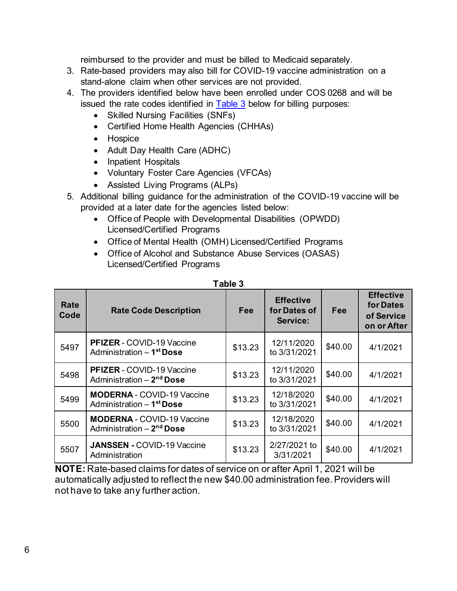reimbursed to the provider and must be billed to Medicaid separately.

- 3. Rate-based providers may also bill for COVID-19 vaccine administration on a stand-alone claim when other services are not provided.
- issued the rate codes identified in [Table 3 b](#page-5-0)elow for billing purposes: 4. The providers identified below have been enrolled under COS 0268 and will be
	- Skilled Nursing Facilities (SNFs)
	- Certified Home Health Agencies (CHHAs)
	- Hospice
	- Adult Day Health Care (ADHC)
	- Inpatient Hospitals
	- Voluntary Foster Care Agencies (VFCAs)
	- Assisted Living Programs (ALPs)
- provided at a later date for the agencies listed below: 5. Additional billing guidance for the administration of the COVID-19 vaccine will be
	- • Office of People with Developmental Disabilities (OPWDD) Licensed/Certified Programs
	- Office of Mental Health (OMH) Licensed/Certified Programs
	- • Office of Alcohol and Substance Abuse Services (OASAS) Licensed/Certified Programs

<span id="page-5-0"></span>

| Rate<br>Code | <b>Rate Code Description</b>                                               | Fee     | <b>Effective</b><br>for Dates of<br>Service: | Fee     | <b>Effective</b><br>for Dates<br>of Service<br>on or After |
|--------------|----------------------------------------------------------------------------|---------|----------------------------------------------|---------|------------------------------------------------------------|
| 5497         | <b>PFIZER</b> - COVID-19 Vaccine<br>Administration - 1 <sup>st</sup> Dose  | \$13.23 | 12/11/2020<br>to 3/31/2021                   | \$40.00 | 4/1/2021                                                   |
| 5498         | PFIZER - COVID-19 Vaccine<br>Administration - 2 <sup>nd</sup> Dose         | \$13.23 | 12/11/2020<br>to 3/31/2021                   | \$40.00 | 4/1/2021                                                   |
| 5499         | <b>MODERNA - COVID-19 Vaccine</b><br>Administration - 1 <sup>st</sup> Dose | \$13.23 | 12/18/2020<br>to 3/31/2021                   | \$40.00 | 4/1/2021                                                   |
| 5500         | <b>MODERNA - COVID-19 Vaccine</b><br>Administration - 2 <sup>nd</sup> Dose | \$13.23 | 12/18/2020<br>to 3/31/2021                   | \$40.00 | 4/1/2021                                                   |
| 5507         | <b>JANSSEN - COVID-19 Vaccine</b><br>Administration                        | \$13.23 | 2/27/2021 to<br>3/31/2021                    | \$40.00 | 4/1/2021                                                   |

| U |  |
|---|--|
|---|--|

 **NOTE:** Rate-based claims for dates of service on or after April 1, 2021 will be automatically adjusted to reflect the new \$40.00 administration fee. Providers will not have to take any further action.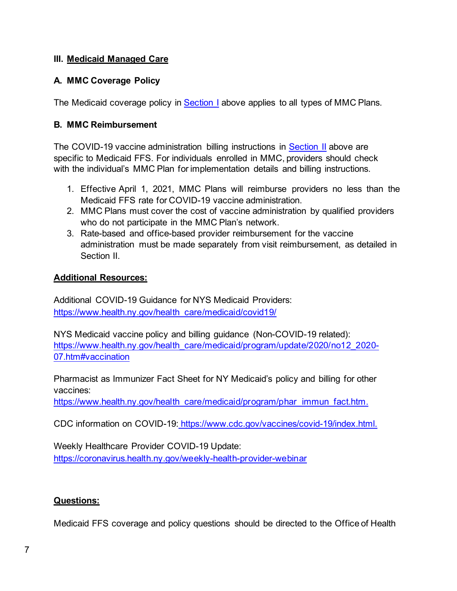## **III. Medicaid Managed Care**

# **A. MMC Coverage Policy**

The Medicaid coverage policy in <u>Section I</u> above applies to all types of MMC Plans.

## **B. MMC Reimbursement**

 specific to Medicaid FFS. For individuals enrolled in MMC, providers should check with the individual's MMC Plan for implementation details and billing instructions. The COVID-19 vaccine administration billing instructions in **Section II** above are

- 1. Effective April 1, 2021, MMC Plans will reimburse providers no less than the Medicaid FFS rate for COVID-19 vaccine administration.
- 2. MMC Plans must cover the cost of vaccine administration by qualified providers who do not participate in the MMC Plan's network.
- 3. Rate-based and office-based provider reimbursement for the vaccine administration must be made separately from visit reimbursement, as detailed i[n](#page-1-0)  [Section II.](#page-1-0)

#### **Additional Resources:**

Additional COVID-19 Guidance for NYS Medicaid Providers: https://www.health.ny.gov/health\_care/medicaid/covid19/

NYS Medicaid vaccine policy and billing guidance (Non-COVID-19 related): [https://www.health.ny.gov/health\\_care/medicaid/program/update/2020/no12\\_2020-](https://www.health.ny.gov/health_care/medicaid/program/update/2020/no12_2020-07.htm#vaccination) [07.htm#vaccination](https://www.health.ny.gov/health_care/medicaid/program/update/2020/no12_2020-07.htm#vaccination) 

 Pharmacist as Immunizer Fact Sheet for NY Medicaid's policy and billing for other vaccines:

https://www.health.ny.gov/health\_care/medicaid/program/phar\_immun\_fact.htm.

CDC information on COVID-19: https:/[/www.cdc.gov/vaccines/covid-19/index.html.](http://www.cdc.gov/vaccines/covid-19/index.html) 

Weekly Healthcare Provider COVID-19 Update: <https://coronavirus.health.ny.gov/weekly-health-provider-webinar>

### **Questions:**

Medicaid FFS coverage and policy questions should be directed to the Office of Health